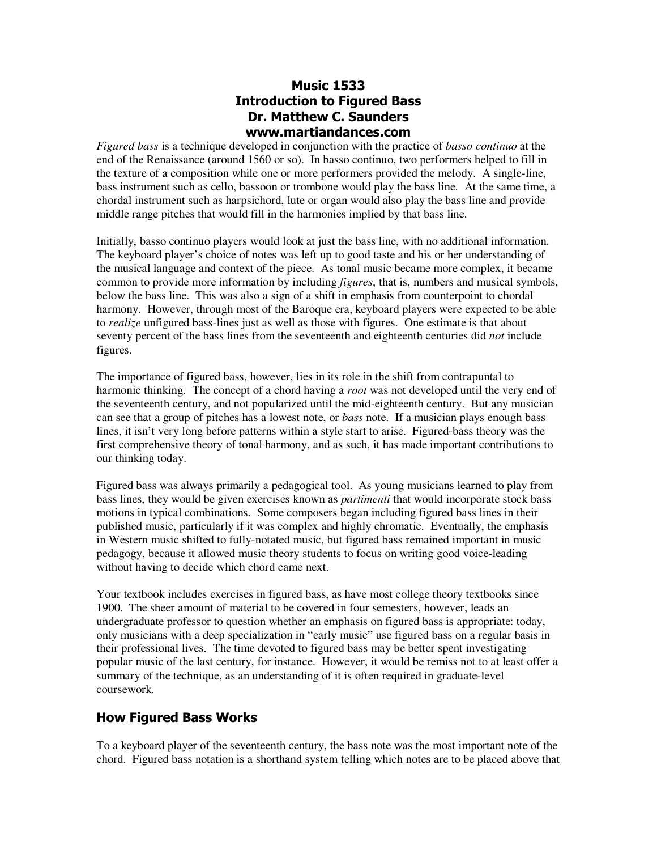### **Music 1533 Introduction to Figured Bass Dr. Matthew C. Saunders www.martiandances.com**

*Figured bass* is a technique developed in conjunction with the practice of *basso continuo* at the end of the Renaissance (around 1560 or so). In basso continuo, two performers helped to fill in the texture of a composition while one or more performers provided the melody. A single-line, bass instrument such as cello, bassoon or trombone would play the bass line. At the same time, a chordal instrument such as harpsichord, lute or organ would also play the bass line and provide middle range pitches that would fill in the harmonies implied by that bass line.

Initially, basso continuo players would look at just the bass line, with no additional information. The keyboard player's choice of notes was left up to good taste and his or her understanding of the musical language and context of the piece. As tonal music became more complex, it became common to provide more information by including *figures*, that is, numbers and musical symbols, below the bass line. This was also a sign of a shift in emphasis from counterpoint to chordal harmony. However, through most of the Baroque era, keyboard players were expected to be able to *realize* unfigured bass-lines just as well as those with figures. One estimate is that about seventy percent of the bass lines from the seventeenth and eighteenth centuries did *not* include figures.

The importance of figured bass, however, lies in its role in the shift from contrapuntal to harmonic thinking. The concept of a chord having a *root* was not developed until the very end of the seventeenth century, and not popularized until the mid-eighteenth century. But any musician can see that a group of pitches has a lowest note, or *bass* note. If a musician plays enough bass lines, it isn't very long before patterns within a style start to arise. Figured-bass theory was the first comprehensive theory of tonal harmony, and as such, it has made important contributions to our thinking today.

Figured bass was always primarily a pedagogical tool. As young musicians learned to play from bass lines, they would be given exercises known as *partimenti* that would incorporate stock bass motions in typical combinations. Some composers began including figured bass lines in their published music, particularly if it was complex and highly chromatic. Eventually, the emphasis in Western music shifted to fully-notated music, but figured bass remained important in music pedagogy, because it allowed music theory students to focus on writing good voice-leading without having to decide which chord came next.

Your textbook includes exercises in figured bass, as have most college theory textbooks since 1900. The sheer amount of material to be covered in four semesters, however, leads an undergraduate professor to question whether an emphasis on figured bass is appropriate: today, only musicians with a deep specialization in "early music" use figured bass on a regular basis in their professional lives. The time devoted to figured bass may be better spent investigating popular music of the last century, for instance. However, it would be remiss not to at least offer a summary of the technique, as an understanding of it is often required in graduate-level coursework.

## **How Figured Bass Works**

To a keyboard player of the seventeenth century, the bass note was the most important note of the chord. Figured bass notation is a shorthand system telling which notes are to be placed above that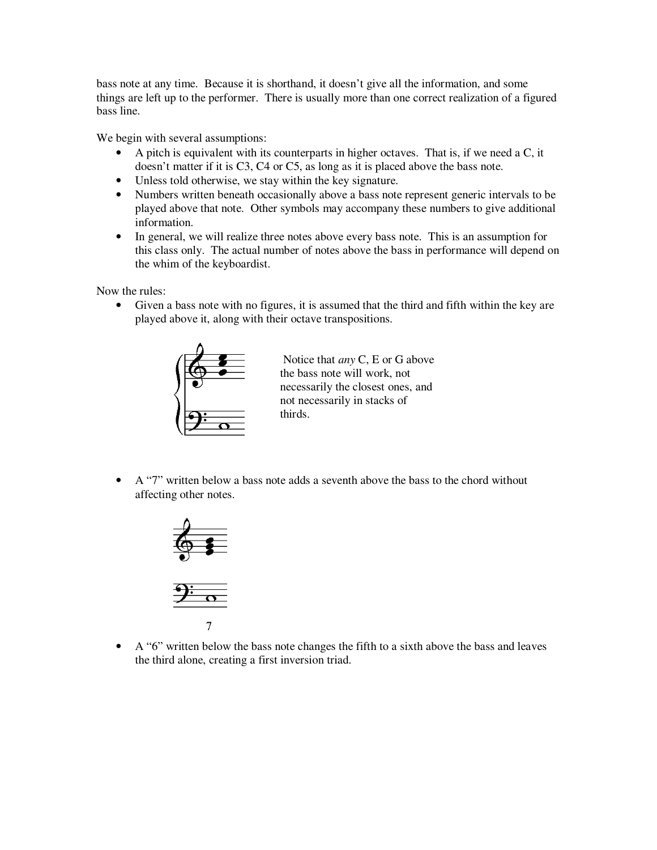bass note at any time. Because it is shorthand, it doesn't give all the information, and some things are left up to the performer. There is usually more than one correct realization of a figured bass line.

We begin with several assumptions:

- A pitch is equivalent with its counterparts in higher octaves. That is, if we need a C, it doesn't matter if it is C3, C4 or C5, as long as it is placed above the bass note.
- Unless told otherwise, we stay within the key signature.
- Numbers written beneath occasionally above a bass note represent generic intervals to be played above that note. Other symbols may accompany these numbers to give additional information.
- In general, we will realize three notes above every bass note. This is an assumption for this class only. The actual number of notes above the bass in performance will depend on the whim of the keyboardist.

Now the rules:

• Given a bass note with no figures, it is assumed that the third and fifth within the key are played above it, along with their octave transpositions.



 Notice that *any* C, E or G above the bass note will work, not necessarily the closest ones, and not necessarily in stacks of thirds.

• A "7" written below a bass note adds a seventh above the bass to the chord without affecting other notes.



 $\overline{7}$ 

• A "6" written below the bass note changes the fifth to a sixth above the bass and leaves the third alone, creating a first inversion triad.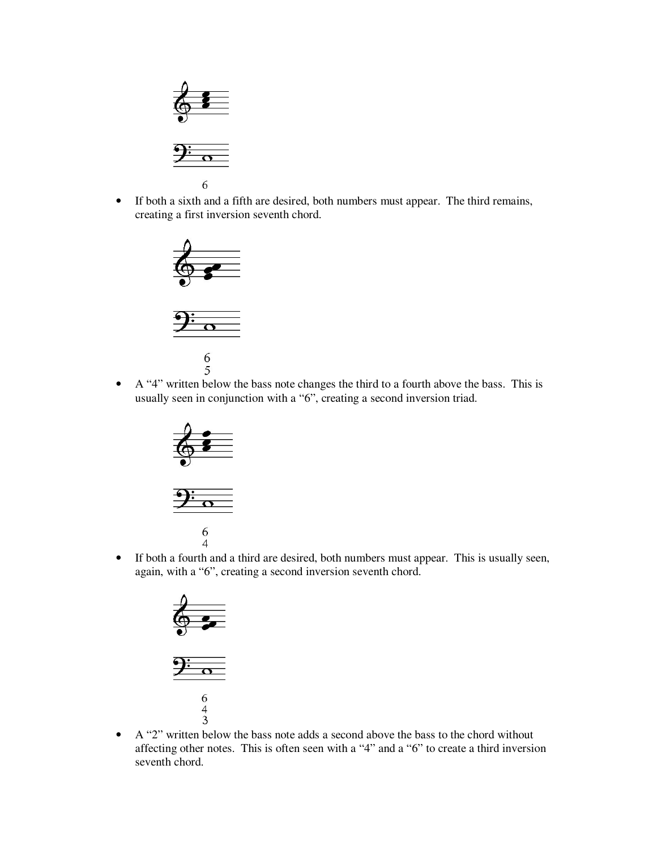

• If both a sixth and a fifth are desired, both numbers must appear. The third remains, creating a first inversion seventh chord.



 $6$ <br>• A "4" written below the bass note changes the third to a fourth above the bass. This is usually seen in conjunction with a "6", creating a second inversion triad.





• If both a fourth and a third are desired, both numbers must appear. This is usually seen, again, with a "6", creating a second inversion seventh chord.





• A "2" written below the bass note adds a second above the bass to the chord without affecting other notes. This is often seen with a "4" and a "6" to create a third inversion seventh chord.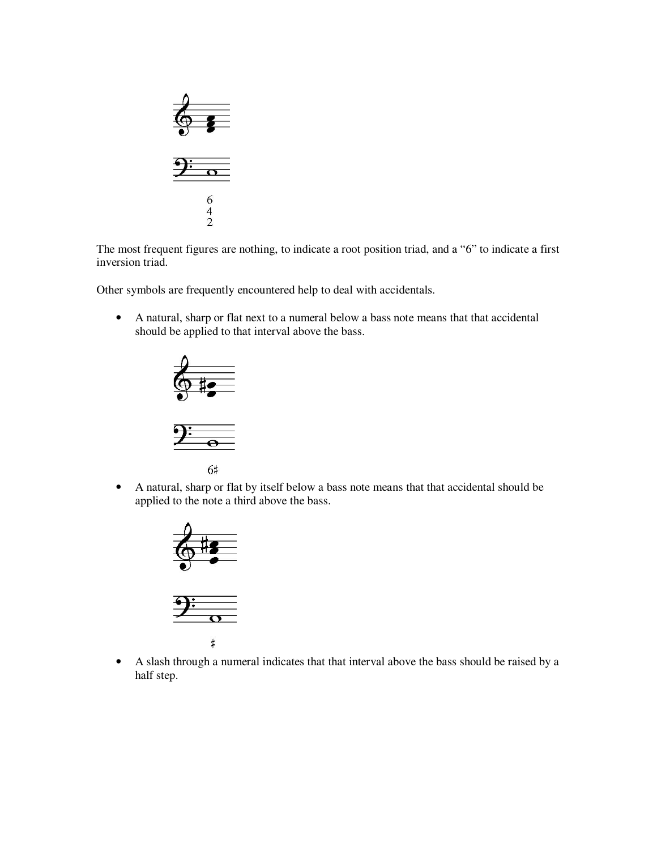

The most frequent figures are nothing, to indicate a root position triad, and a "6" to indicate a first inversion triad.

Other symbols are frequently encountered help to deal with accidentals.

• A natural, sharp or flat next to a numeral below a bass note means that that accidental should be applied to that interval above the bass.





6#

• A natural, sharp or flat by itself below a bass note means that that accidental should be applied to the note a third above the bass.



 $\sharp$ 

• A slash through a numeral indicates that that interval above the bass should be raised by a half step.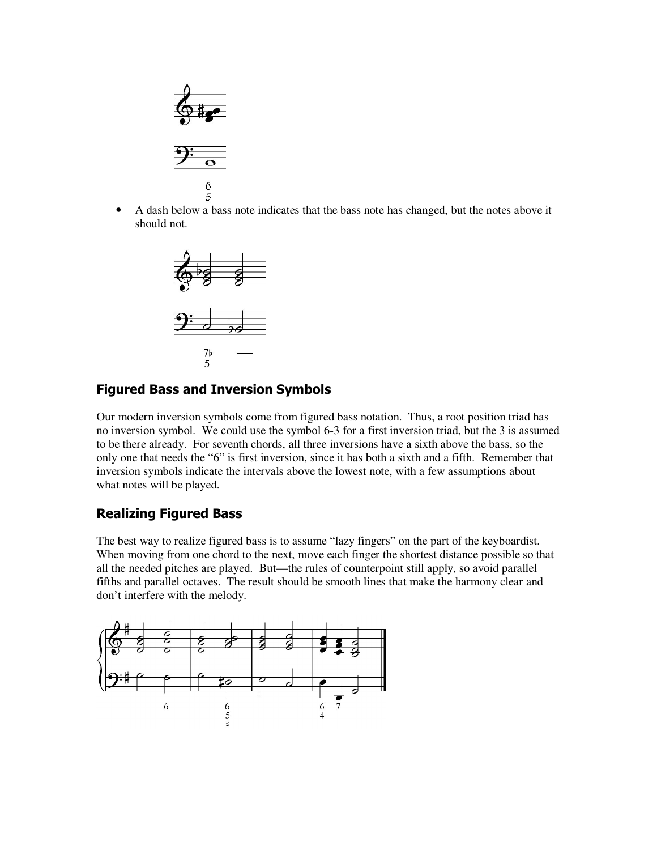

• A dash below a bass note indicates that the bass note has changed, but the notes above it should not.



### **Figured Bass and Inversion Symbols**

Our modern inversion symbols come from figured bass notation. Thus, a root position triad has no inversion symbol. We could use the symbol 6-3 for a first inversion triad, but the 3 is assumed to be there already. For seventh chords, all three inversions have a sixth above the bass, so the only one that needs the "6" is first inversion, since it has both a sixth and a fifth. Remember that inversion symbols indicate the intervals above the lowest note, with a few assumptions about what notes will be played.

#### **Realizing Figured Bass**

The best way to realize figured bass is to assume "lazy fingers" on the part of the keyboardist. When moving from one chord to the next, move each finger the shortest distance possible so that all the needed pitches are played. But—the rules of counterpoint still apply, so avoid parallel fifths and parallel octaves. The result should be smooth lines that make the harmony clear and don't interfere with the melody.